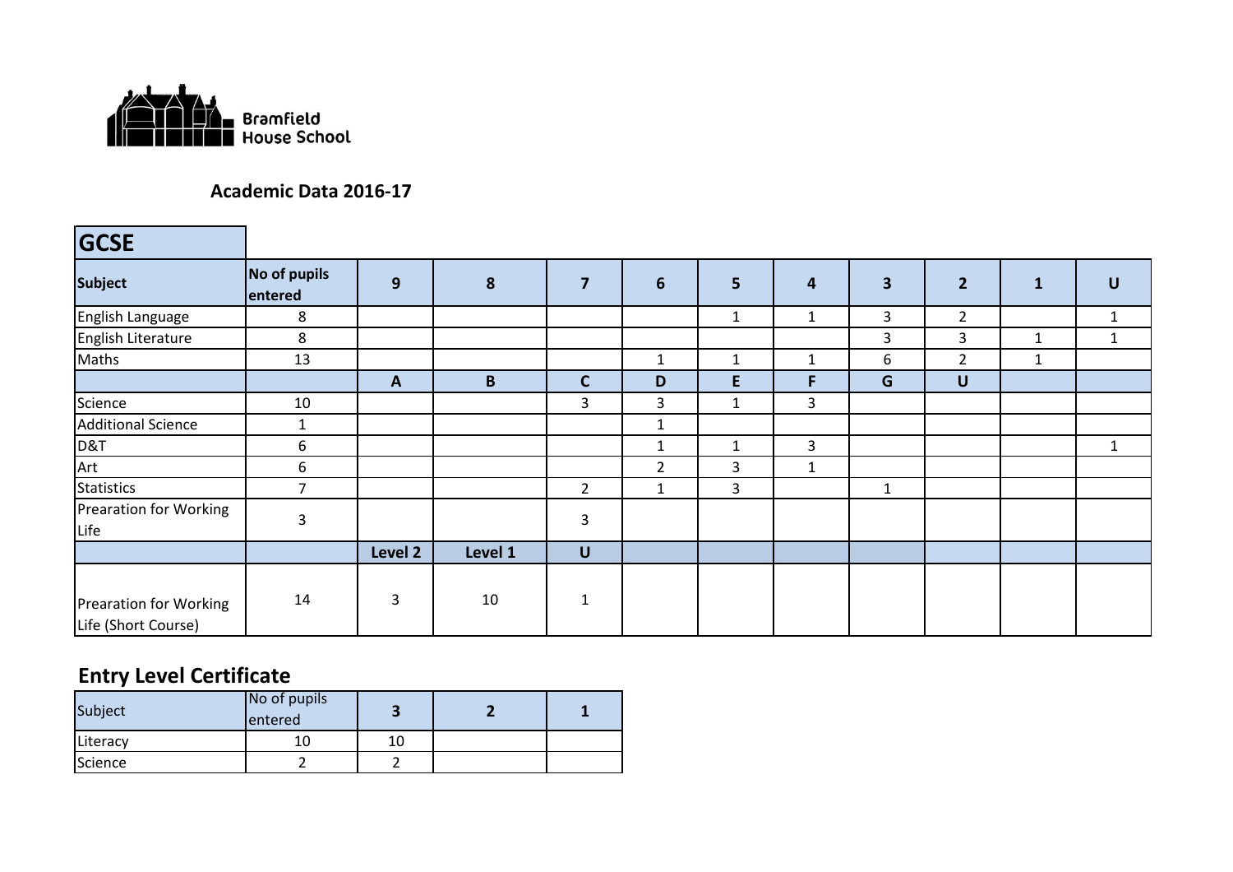

#### **Academic Data 2016-17**

| <b>GCSE</b>                                          |                         |              |         |                |                |              |                |                         |                |              |              |
|------------------------------------------------------|-------------------------|--------------|---------|----------------|----------------|--------------|----------------|-------------------------|----------------|--------------|--------------|
| <b>Subject</b>                                       | No of pupils<br>entered | 9            | 8       | $\overline{7}$ | 6              | 5            | 4              | $\overline{\mathbf{3}}$ | $\overline{2}$ | 1            | $\cup$       |
| English Language                                     | 8                       |              |         |                |                | $\mathbf{1}$ | 1              | 3                       | $\overline{2}$ |              | 1            |
| English Literature                                   | 8                       |              |         |                |                |              |                | 3                       | 3              | 1            | $\mathbf{1}$ |
| Maths                                                | 13                      |              |         |                | $\mathbf{1}$   | $\mathbf{1}$ | $\mathbf{1}$   | 6                       | $\overline{2}$ | $\mathbf{1}$ |              |
|                                                      |                         | $\mathbf{A}$ | B       | $\mathbf C$    | D              | E.           | F              | G                       | $\cup$         |              |              |
| Science                                              | 10                      |              |         | 3              | $\overline{3}$ | $\mathbf{1}$ | $\overline{3}$ |                         |                |              |              |
| <b>Additional Science</b>                            | $\mathbf{1}$            |              |         |                | $\mathbf{1}$   |              |                |                         |                |              |              |
| D&T                                                  | 6                       |              |         |                | $\mathbf{1}$   | $\mathbf{1}$ | 3              |                         |                |              | $\mathbf{1}$ |
| Art                                                  | 6                       |              |         |                | 2              | 3            | $\mathbf{1}$   |                         |                |              |              |
| <b>Statistics</b>                                    | $\overline{7}$          |              |         | $\overline{2}$ | 1              | $\mathbf{3}$ |                | 1                       |                |              |              |
| <b>Prearation for Working</b><br>Life                | $\mathbf{3}$            |              |         | 3              |                |              |                |                         |                |              |              |
|                                                      |                         | Level 2      | Level 1 | U              |                |              |                |                         |                |              |              |
| <b>Prearation for Working</b><br>Life (Short Course) | 14                      | 3            | 10      | $\mathbf 1$    |                |              |                |                         |                |              |              |

## **Entry Level Certificate**

| Subject  | No of pupils<br>entered |    |  |
|----------|-------------------------|----|--|
| Literacy |                         | 10 |  |
| Science  |                         |    |  |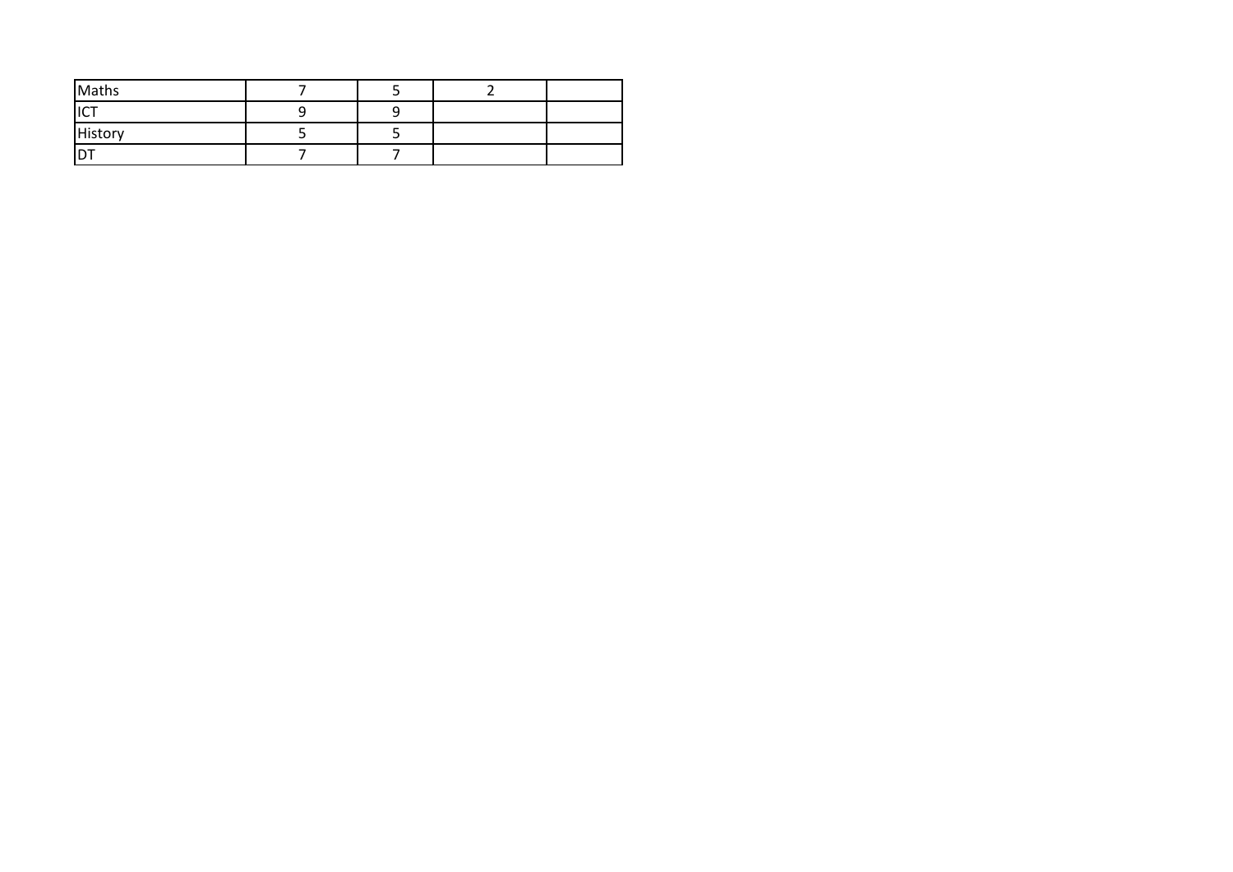| Maths       |  |  |
|-------------|--|--|
| 10T<br>IL I |  |  |
| History     |  |  |
| ו ש         |  |  |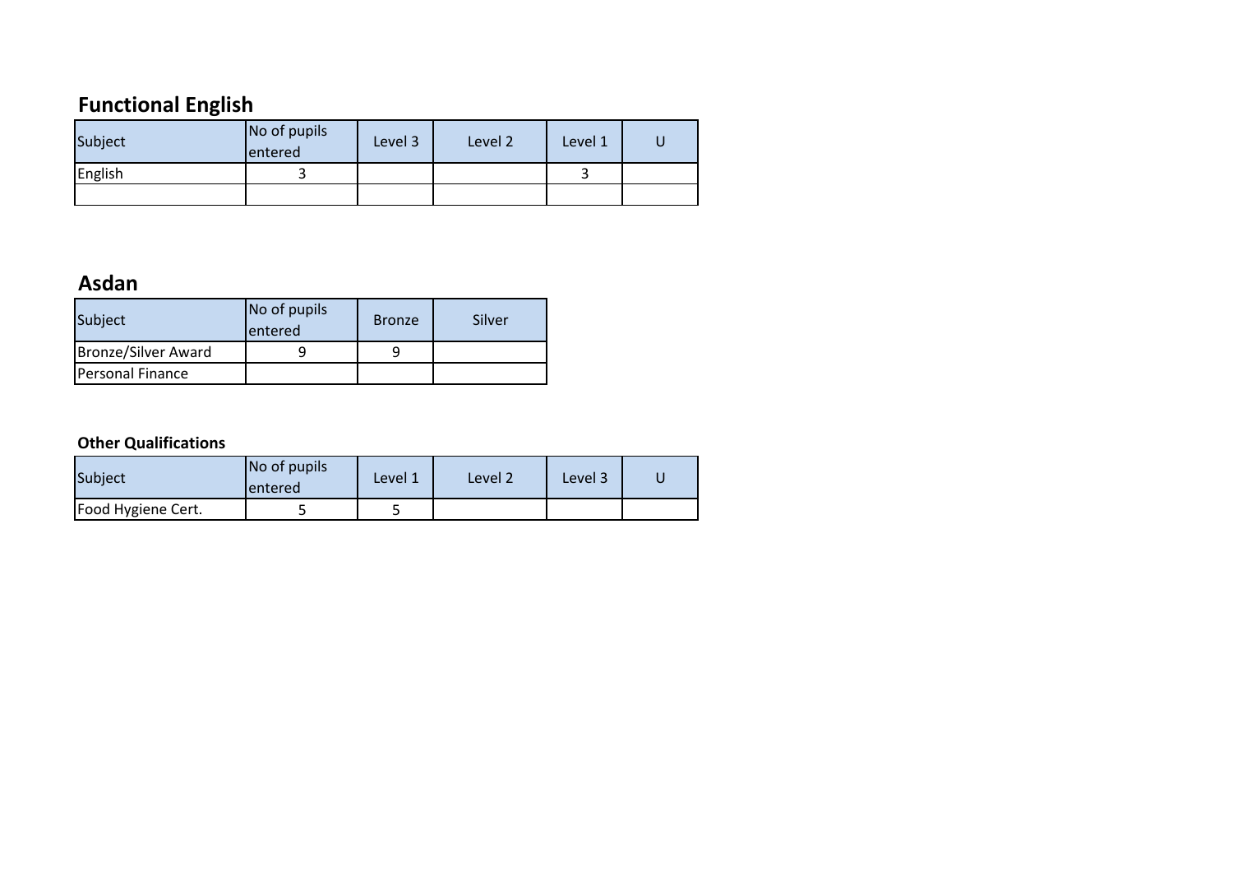# **Functional English**

| Subject | No of pupils<br>entered | Level 3 | Level 2 | Level 1 |  |
|---------|-------------------------|---------|---------|---------|--|
| English |                         |         |         |         |  |
|         |                         |         |         |         |  |

## **Asdan**

| Subject             | No of pupils<br>lentered | <b>Bronze</b> | Silver |
|---------------------|--------------------------|---------------|--------|
| Bronze/Silver Award |                          |               |        |
| Personal Finance    |                          |               |        |

#### **Other Qualifications**

| <b>Subject</b>     | No of pupils<br>lentered | Level 1 | Level 2 | Level 3 |  |
|--------------------|--------------------------|---------|---------|---------|--|
| Food Hygiene Cert. |                          | ت       |         |         |  |